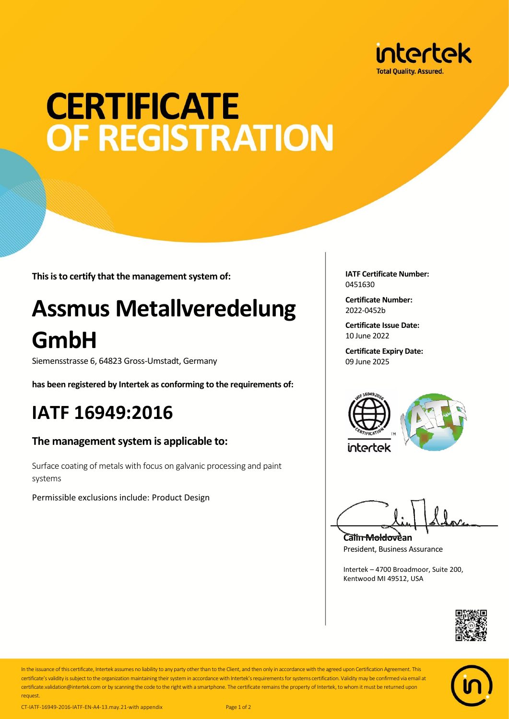

# **CERTIFICATE OF REGISTRATION**

**This is to certify that the management system of:**

## **Assmus Metallveredelung GmbH**

Siemensstrasse 6, 64823 Gross-Umstadt, Germany

**has been registered by Intertek as conforming to the requirements of:**

### **IATF 16949:2016**

#### **The management system is applicable to:**

Surface coating of metals with focus on galvanic processing and paint systems

Permissible exclusions include: Product Design

**IATF Certificate Number:** 0451630

**Certificate Number:** 2022-0452b

**Certificate Issue Date:** 10 June 2022

**Certificate Expiry Date:** 09 June 2025



**Calin Moldovean** President, Business Assurance

Intertek – 4700 Broadmoor, Suite 200, Kentwood MI 49512, USA





In the issuance of this certificate, Intertek assumes no liability to any party other than to the Client, and then only in accordance with the agreed upon Certification Agreement. This certificate's validity is subject to the organization maintaining their system in accordance with Intertek's requirements for systems certification. Validity may be confirmed via email at certificate.validation@intertek.com or by scanning the code to the right with a smartphone. The certificate remains the property of Intertek, to whom it must be returned upon request.